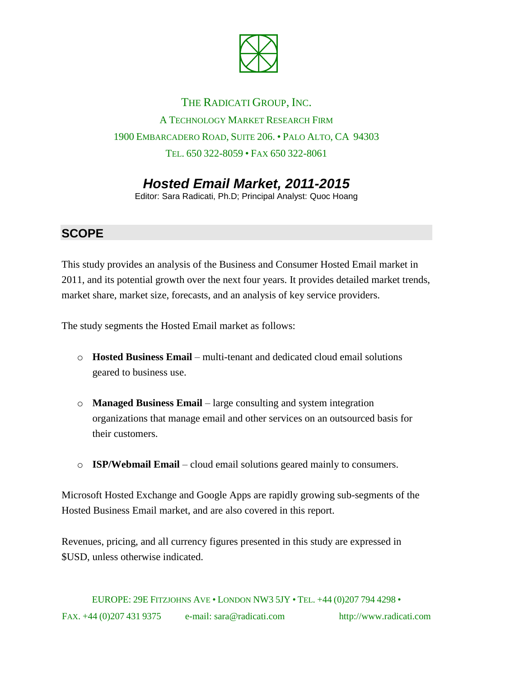

## THE RADICATI GROUP, INC. A TECHNOLOGY MARKET RESEARCH FIRM 1900 EMBARCADERO ROAD, SUITE 206. • PALO ALTO, CA 94303 TEL. 650 322-8059 • FAX 650 322-8061

# *Hosted Email Market, 2011-2015*

Editor: Sara Radicati, Ph.D; Principal Analyst: Quoc Hoang

#### **SCOPE**

This study provides an analysis of the Business and Consumer Hosted Email market in 2011, and its potential growth over the next four years. It provides detailed market trends, market share, market size, forecasts, and an analysis of key service providers.

The study segments the Hosted Email market as follows:

- o **Hosted Business Email** multi-tenant and dedicated cloud email solutions geared to business use.
- o **Managed Business Email** large consulting and system integration organizations that manage email and other services on an outsourced basis for their customers.
- o **ISP/Webmail Email** cloud email solutions geared mainly to consumers.

Microsoft Hosted Exchange and Google Apps are rapidly growing sub-segments of the Hosted Business Email market, and are also covered in this report.

Revenues, pricing, and all currency figures presented in this study are expressed in \$USD, unless otherwise indicated.

EUROPE: 29E FITZJOHNS AVE • LONDON NW3 5JY • TEL. +44 (0)207 794 4298 • FAX. +44 (0)207 431 9375 e-mail: sara@radicati.com http://www.radicati.com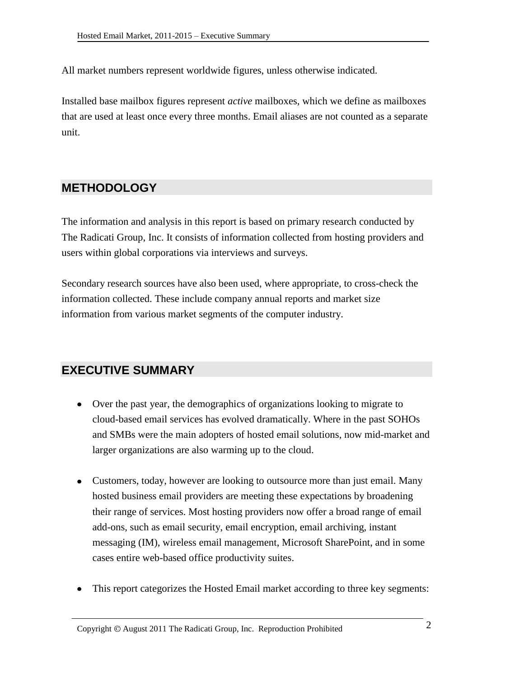All market numbers represent worldwide figures, unless otherwise indicated.

Installed base mailbox figures represent *active* mailboxes, which we define as mailboxes that are used at least once every three months. Email aliases are not counted as a separate unit.

### **METHODOLOGY**

The information and analysis in this report is based on primary research conducted by The Radicati Group, Inc. It consists of information collected from hosting providers and users within global corporations via interviews and surveys.

Secondary research sources have also been used, where appropriate, to cross-check the information collected. These include company annual reports and market size information from various market segments of the computer industry.

### **EXECUTIVE SUMMARY**

- Over the past year, the demographics of organizations looking to migrate to cloud-based email services has evolved dramatically. Where in the past SOHOs and SMBs were the main adopters of hosted email solutions, now mid-market and larger organizations are also warming up to the cloud.
- Customers, today, however are looking to outsource more than just email. Many hosted business email providers are meeting these expectations by broadening their range of services. Most hosting providers now offer a broad range of email add-ons, such as email security, email encryption, email archiving, instant messaging (IM), wireless email management, Microsoft SharePoint, and in some cases entire web-based office productivity suites.
- This report categorizes the Hosted Email market according to three key segments: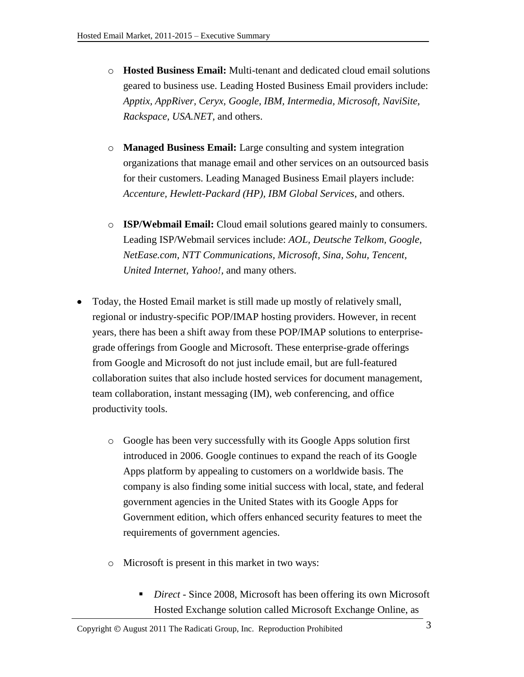- o **Hosted Business Email:** Multi-tenant and dedicated cloud email solutions geared to business use. Leading Hosted Business Email providers include: *Apptix, AppRiver, Ceryx, Google, IBM, Intermedia, Microsoft, NaviSite, Rackspace, USA.NET,* and others.
- o **Managed Business Email:** Large consulting and system integration organizations that manage email and other services on an outsourced basis for their customers. Leading Managed Business Email players include: *Accenture, Hewlett-Packard (HP), IBM Global Services*, and others.
- o **ISP/Webmail Email:** Cloud email solutions geared mainly to consumers. Leading ISP/Webmail services include: *AOL, Deutsche Telkom, Google, NetEase.com, NTT Communications, Microsoft, Sina, Sohu, Tencent, United Internet, Yahoo!,* and many others.
- Today, the Hosted Email market is still made up mostly of relatively small, regional or industry-specific POP/IMAP hosting providers. However, in recent years, there has been a shift away from these POP/IMAP solutions to enterprisegrade offerings from Google and Microsoft. These enterprise-grade offerings from Google and Microsoft do not just include email, but are full-featured collaboration suites that also include hosted services for document management, team collaboration, instant messaging (IM), web conferencing, and office productivity tools.
	- o Google has been very successfully with its Google Apps solution first introduced in 2006. Google continues to expand the reach of its Google Apps platform by appealing to customers on a worldwide basis. The company is also finding some initial success with local, state, and federal government agencies in the United States with its Google Apps for Government edition, which offers enhanced security features to meet the requirements of government agencies.
	- o Microsoft is present in this market in two ways:
		- *Direct -* Since 2008, Microsoft has been offering its own Microsoft Hosted Exchange solution called Microsoft Exchange Online, as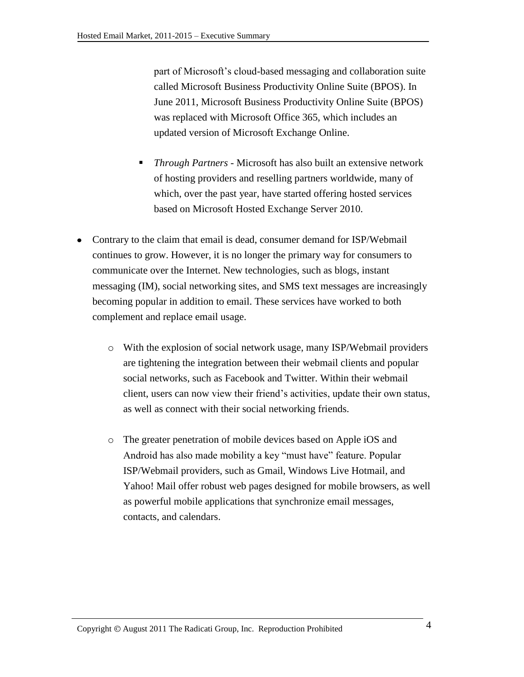part of Microsoft's cloud-based messaging and collaboration suite called Microsoft Business Productivity Online Suite (BPOS). In June 2011, Microsoft Business Productivity Online Suite (BPOS) was replaced with Microsoft Office 365, which includes an updated version of Microsoft Exchange Online.

- *Through Partners -* Microsoft has also built an extensive network of hosting providers and reselling partners worldwide, many of which, over the past year, have started offering hosted services based on Microsoft Hosted Exchange Server 2010.
- Contrary to the claim that email is dead, consumer demand for ISP/Webmail continues to grow. However, it is no longer the primary way for consumers to communicate over the Internet. New technologies, such as blogs, instant messaging (IM), social networking sites, and SMS text messages are increasingly becoming popular in addition to email. These services have worked to both complement and replace email usage.
	- o With the explosion of social network usage, many ISP/Webmail providers are tightening the integration between their webmail clients and popular social networks, such as Facebook and Twitter. Within their webmail client, users can now view their friend's activities, update their own status, as well as connect with their social networking friends.
	- o The greater penetration of mobile devices based on Apple iOS and Android has also made mobility a key "must have" feature. Popular ISP/Webmail providers, such as Gmail, Windows Live Hotmail, and Yahoo! Mail offer robust web pages designed for mobile browsers, as well as powerful mobile applications that synchronize email messages, contacts, and calendars.